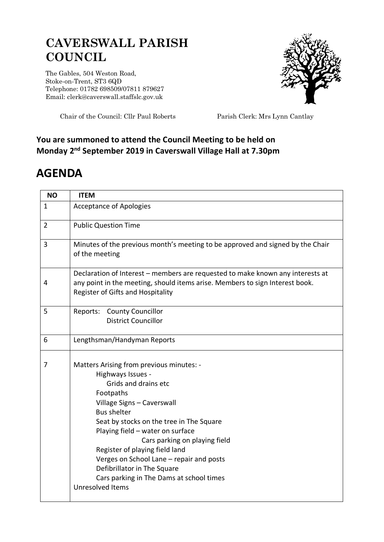## **CAVERSWALL PARISH COUNCIL**

The Gables, 504 Weston Road, Stoke-on-Trent, ST3 6QD Telephone: 01782 698509/07811 879627 Email: clerk@caverswall.staffslc.gov.uk



Chair of the Council: Cllr Paul Roberts Parish Clerk: Mrs Lynn Cantlay

## **You are summoned to attend the Council Meeting to be held on Monday 2 nd September 2019 in Caverswall Village Hall at 7.30pm**

## **AGENDA**

| <b>NO</b>      | <b>ITEM</b>                                                                                                                                                                                                                                                                                                                                                                                                                                          |
|----------------|------------------------------------------------------------------------------------------------------------------------------------------------------------------------------------------------------------------------------------------------------------------------------------------------------------------------------------------------------------------------------------------------------------------------------------------------------|
| $\mathbf{1}$   | <b>Acceptance of Apologies</b>                                                                                                                                                                                                                                                                                                                                                                                                                       |
| $\overline{2}$ | <b>Public Question Time</b>                                                                                                                                                                                                                                                                                                                                                                                                                          |
| 3              | Minutes of the previous month's meeting to be approved and signed by the Chair<br>of the meeting                                                                                                                                                                                                                                                                                                                                                     |
| 4              | Declaration of Interest – members are requested to make known any interests at<br>any point in the meeting, should items arise. Members to sign Interest book.<br>Register of Gifts and Hospitality                                                                                                                                                                                                                                                  |
| 5              | Reports: County Councillor<br><b>District Councillor</b>                                                                                                                                                                                                                                                                                                                                                                                             |
| 6              | Lengthsman/Handyman Reports                                                                                                                                                                                                                                                                                                                                                                                                                          |
| 7              | Matters Arising from previous minutes: -<br>Highways Issues -<br>Grids and drains etc<br>Footpaths<br>Village Signs - Caverswall<br><b>Bus shelter</b><br>Seat by stocks on the tree in The Square<br>Playing field - water on surface<br>Cars parking on playing field<br>Register of playing field land<br>Verges on School Lane - repair and posts<br>Defibrillator in The Square<br>Cars parking in The Dams at school times<br>Unresolved Items |